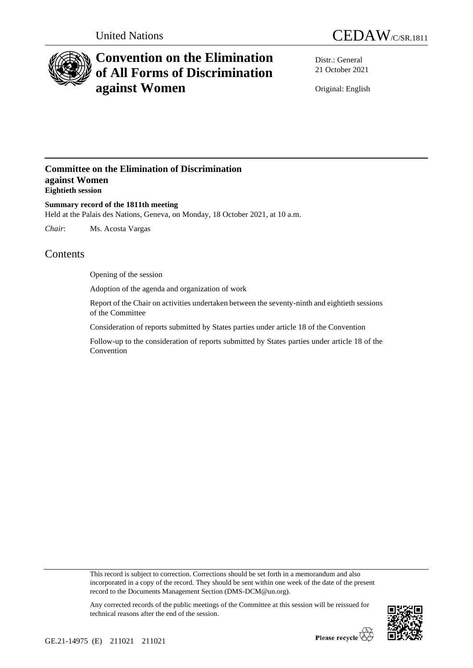



# **Convention on the Elimination of All Forms of Discrimination against Women**

Distr.: General 21 October 2021

Original: English

### **Committee on the Elimination of Discrimination against Women Eightieth session**

**Summary record of the 1811th meeting** Held at the Palais des Nations, Geneva, on Monday, 18 October 2021, at 10 a.m.

*Chair*: Ms. Acosta Vargas

## **Contents**

Opening of the session

Adoption of the agenda and organization of work

Report of the Chair on activities undertaken between the seventy-ninth and eightieth sessions of the Committee

Consideration of reports submitted by States parties under article 18 of the Convention

Follow-up to the consideration of reports submitted by States parties under article 18 of the Convention

This record is subject to correction. Corrections should be set forth in a memorandum and also incorporated in a copy of the record. They should be sent within one week of the date of the present record to the Documents Management Section (DMS-DCM@un.org).



Any corrected records of the public meetings of the Committee at this session will be reissued for technical reasons after the end of the session.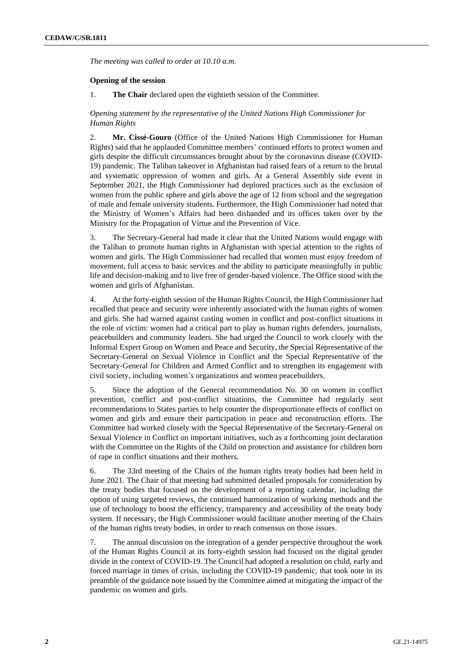*The meeting was called to order at 10.10 a.m.*

#### **Opening of the session**

1. **The Chair** declared open the eightieth session of the Committee.

#### *Opening statement by the representative of the United Nations High Commissioner for Human Rights*

2. **Mr. Cissé-Gouro** (Office of the United Nations High Commissioner for Human Rights) said that he applauded Committee members' continued efforts to protect women and girls despite the difficult circumstances brought about by the coronavirus disease (COVID-19) pandemic. The Taliban takeover in Afghanistan had raised fears of a return to the brutal and systematic oppression of women and girls. At a General Assembly side event in September 2021, the High Commissioner had deplored practices such as the exclusion of women from the public sphere and girls above the age of 12 from school and the segregation of male and female university students. Furthermore, the High Commissioner had noted that the Ministry of Women's Affairs had been disbanded and its offices taken over by the Ministry for the Propagation of Virtue and the Prevention of Vice.

3. The Secretary-General had made it clear that the United Nations would engage with the Taliban to promote human rights in Afghanistan with special attention to the rights of women and girls. The High Commissioner had recalled that women must enjoy freedom of movement, full access to basic services and the ability to participate meaningfully in public life and decision-making and to live free of gender-based violence. The Office stood with the women and girls of Afghanistan.

4. At the forty-eighth session of the Human Rights Council, the High Commissioner had recalled that peace and security were inherently associated with the human rights of women and girls. She had warned against casting women in conflict and post-conflict situations in the role of victim: women had a critical part to play as human rights defenders, journalists, peacebuilders and community leaders. She had urged the Council to work closely with the Informal Expert Group on Women and Peace and Security, the Special Representative of the Secretary-General on Sexual Violence in Conflict and the Special Representative of the Secretary-General for Children and Armed Conflict and to strengthen its engagement with civil society, including women's organizations and women peacebuilders.

5. Since the adoption of the General recommendation No. 30 on women in conflict prevention, conflict and post-conflict situations, the Committee had regularly sent recommendations to States parties to help counter the disproportionate effects of conflict on women and girls and ensure their participation in peace and reconstruction efforts. The Committee had worked closely with the Special Representative of the Secretary-General on Sexual Violence in Conflict on important initiatives, such as a forthcoming joint declaration with the Committee on the Rights of the Child on protection and assistance for children born of rape in conflict situations and their mothers.

6. The 33rd meeting of the Chairs of the human rights treaty bodies had been held in June 2021. The Chair of that meeting had submitted detailed proposals for consideration by the treaty bodies that focused on the development of a reporting calendar, including the option of using targeted reviews, the continued harmonization of working methods and the use of technology to boost the efficiency, transparency and accessibility of the treaty body system. If necessary, the High Commissioner would facilitate another meeting of the Chairs of the human rights treaty bodies, in order to reach consensus on those issues.

7. The annual discussion on the integration of a gender perspective throughout the work of the Human Rights Council at its forty-eighth session had focused on the digital gender divide in the context of COVID-19. The Council had adopted a resolution on child, early and forced marriage in times of crisis, including the COVID-19 pandemic, that took note in its preamble of the guidance note issued by the Committee aimed at mitigating the impact of the pandemic on women and girls.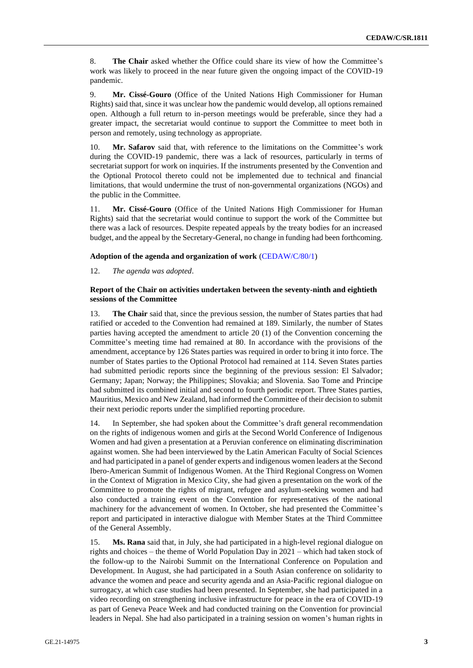8. **The Chair** asked whether the Office could share its view of how the Committee's work was likely to proceed in the near future given the ongoing impact of the COVID-19 pandemic.

9. **Mr. Cissé-Gouro** (Office of the United Nations High Commissioner for Human Rights) said that, since it was unclear how the pandemic would develop, all options remained open. Although a full return to in-person meetings would be preferable, since they had a greater impact, the secretariat would continue to support the Committee to meet both in person and remotely, using technology as appropriate.

10. **Mr. Safarov** said that, with reference to the limitations on the Committee's work during the COVID-19 pandemic, there was a lack of resources, particularly in terms of secretariat support for work on inquiries. If the instruments presented by the Convention and the Optional Protocol thereto could not be implemented due to technical and financial limitations, that would undermine the trust of non-governmental organizations (NGOs) and the public in the Committee.

11. **Mr. Cissé-Gouro** (Office of the United Nations High Commissioner for Human Rights) said that the secretariat would continue to support the work of the Committee but there was a lack of resources. Despite repeated appeals by the treaty bodies for an increased budget, and the appeal by the Secretary-General, no change in funding had been forthcoming.

#### **Adoption of the agenda and organization of work** [\(CEDAW/C/80/1\)](http://undocs.org/en/CEDAW/C/80/1)

12. *The agenda was adopted*.

#### **Report of the Chair on activities undertaken between the seventy-ninth and eightieth sessions of the Committee**

13. **The Chair** said that, since the previous session, the number of States parties that had ratified or acceded to the Convention had remained at 189. Similarly, the number of States parties having accepted the amendment to article 20 (1) of the Convention concerning the Committee's meeting time had remained at 80. In accordance with the provisions of the amendment, acceptance by 126 States parties was required in order to bring it into force. The number of States parties to the Optional Protocol had remained at 114. Seven States parties had submitted periodic reports since the beginning of the previous session: El Salvador; Germany; Japan; Norway; the Philippines; Slovakia; and Slovenia. Sao Tome and Principe had submitted its combined initial and second to fourth periodic report. Three States parties, Mauritius, Mexico and New Zealand, had informed the Committee of their decision to submit their next periodic reports under the simplified reporting procedure.

14. In September, she had spoken about the Committee's draft general recommendation on the rights of indigenous women and girls at the Second World Conference of Indigenous Women and had given a presentation at a Peruvian conference on eliminating discrimination against women. She had been interviewed by the Latin American Faculty of Social Sciences and had participated in a panel of gender experts and indigenous women leaders at the Second Ibero-American Summit of Indigenous Women. At the Third Regional Congress on Women in the Context of Migration in Mexico City, she had given a presentation on the work of the Committee to promote the rights of migrant, refugee and asylum-seeking women and had also conducted a training event on the Convention for representatives of the national machinery for the advancement of women. In October, she had presented the Committee's report and participated in interactive dialogue with Member States at the Third Committee of the General Assembly.

15. **Ms. Rana** said that, in July, she had participated in a high-level regional dialogue on rights and choices – the theme of World Population Day in 2021 – which had taken stock of the follow-up to the Nairobi Summit on the International Conference on Population and Development. In August, she had participated in a South Asian conference on solidarity to advance the women and peace and security agenda and an Asia-Pacific regional dialogue on surrogacy, at which case studies had been presented. In September, she had participated in a video recording on strengthening inclusive infrastructure for peace in the era of COVID-19 as part of Geneva Peace Week and had conducted training on the Convention for provincial leaders in Nepal. She had also participated in a training session on women's human rights in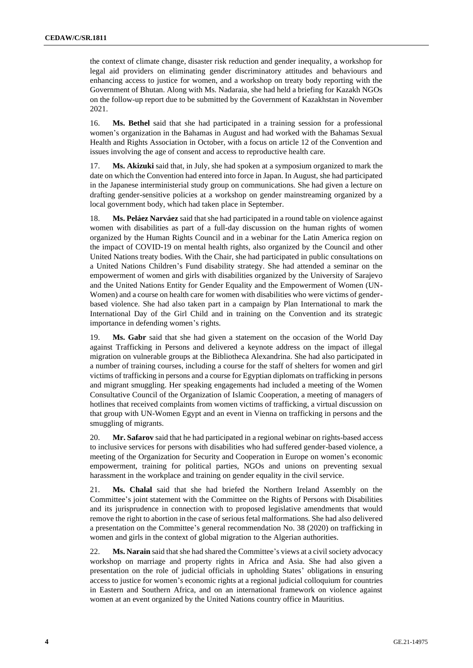the context of climate change, disaster risk reduction and gender inequality, a workshop for legal aid providers on eliminating gender discriminatory attitudes and behaviours and enhancing access to justice for women, and a workshop on treaty body reporting with the Government of Bhutan. Along with Ms. Nadaraia, she had held a briefing for Kazakh NGOs on the follow-up report due to be submitted by the Government of Kazakhstan in November 2021.

16. **Ms. Bethel** said that she had participated in a training session for a professional women's organization in the Bahamas in August and had worked with the Bahamas Sexual Health and Rights Association in October, with a focus on article 12 of the Convention and issues involving the age of consent and access to reproductive health care.

17. **Ms. Akizuki** said that, in July, she had spoken at a symposium organized to mark the date on which the Convention had entered into force in Japan. In August, she had participated in the Japanese interministerial study group on communications. She had given a lecture on drafting gender-sensitive policies at a workshop on gender mainstreaming organized by a local government body, which had taken place in September.

18. **Ms. Peláez Narváez** said that she had participated in a round table on violence against women with disabilities as part of a full-day discussion on the human rights of women organized by the Human Rights Council and in a webinar for the Latin America region on the impact of COVID-19 on mental health rights, also organized by the Council and other United Nations treaty bodies. With the Chair, she had participated in public consultations on a United Nations Children's Fund disability strategy. She had attended a seminar on the empowerment of women and girls with disabilities organized by the University of Sarajevo and the United Nations Entity for Gender Equality and the Empowerment of Women (UN-Women) and a course on health care for women with disabilities who were victims of genderbased violence. She had also taken part in a campaign by Plan International to mark the International Day of the Girl Child and in training on the Convention and its strategic importance in defending women's rights.

19. **Ms. Gabr** said that she had given a statement on the occasion of the World Day against Trafficking in Persons and delivered a keynote address on the impact of illegal migration on vulnerable groups at the Bibliotheca Alexandrina. She had also participated in a number of training courses, including a course for the staff of shelters for women and girl victims of trafficking in persons and a course for Egyptian diplomats on trafficking in persons and migrant smuggling. Her speaking engagements had included a meeting of the Women Consultative Council of the Organization of Islamic Cooperation, a meeting of managers of hotlines that received complaints from women victims of trafficking, a virtual discussion on that group with UN-Women Egypt and an event in Vienna on trafficking in persons and the smuggling of migrants.

20. **Mr. Safarov** said that he had participated in a regional webinar on rights-based access to inclusive services for persons with disabilities who had suffered gender-based violence, a meeting of the Organization for Security and Cooperation in Europe on women's economic empowerment, training for political parties, NGOs and unions on preventing sexual harassment in the workplace and training on gender equality in the civil service.

21. **Ms. Chalal** said that she had briefed the Northern Ireland Assembly on the Committee's joint statement with the Committee on the Rights of Persons with Disabilities and its jurisprudence in connection with to proposed legislative amendments that would remove the right to abortion in the case of serious fetal malformations. She had also delivered a presentation on the Committee's general recommendation No. 38 (2020) on trafficking in women and girls in the context of global migration to the Algerian authorities.

22. **Ms. Narain** said that she had shared the Committee's views at a civil society advocacy workshop on marriage and property rights in Africa and Asia. She had also given a presentation on the role of judicial officials in upholding States' obligations in ensuring access to justice for women's economic rights at a regional judicial colloquium for countries in Eastern and Southern Africa, and on an international framework on violence against women at an event organized by the United Nations country office in Mauritius.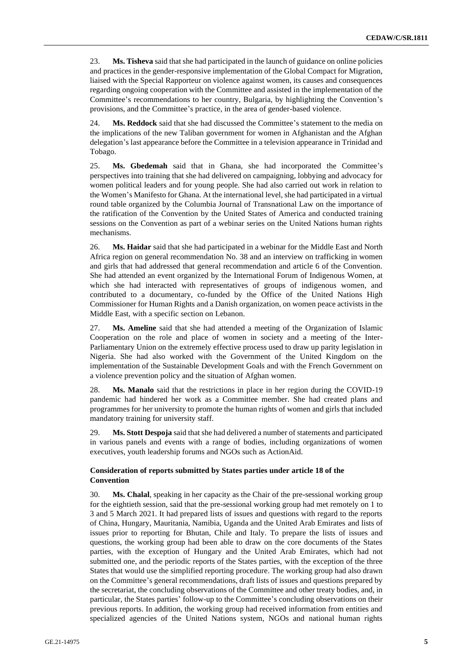23. **Ms. Tisheva** said that she had participated in the launch of guidance on online policies and practices in the gender-responsive implementation of the Global Compact for Migration, liaised with the Special Rapporteur on violence against women, its causes and consequences regarding ongoing cooperation with the Committee and assisted in the implementation of the Committee's recommendations to her country, Bulgaria, by highlighting the Convention's provisions, and the Committee's practice, in the area of gender-based violence.

24. **Ms. Reddock** said that she had discussed the Committee's statement to the media on the implications of the new Taliban government for women in Afghanistan and the Afghan delegation's last appearance before the Committee in a television appearance in Trinidad and Tobago.

25. **Ms. Gbedemah** said that in Ghana, she had incorporated the Committee's perspectives into training that she had delivered on campaigning, lobbying and advocacy for women political leaders and for young people. She had also carried out work in relation to the Women's Manifesto for Ghana. At the international level, she had participated in a virtual round table organized by the Columbia Journal of Transnational Law on the importance of the ratification of the Convention by the United States of America and conducted training sessions on the Convention as part of a webinar series on the United Nations human rights mechanisms.

26. **Ms. Haidar** said that she had participated in a webinar for the Middle East and North Africa region on general recommendation No. 38 and an interview on trafficking in women and girls that had addressed that general recommendation and article 6 of the Convention. She had attended an event organized by the International Forum of Indigenous Women, at which she had interacted with representatives of groups of indigenous women, and contributed to a documentary, co-funded by the Office of the United Nations High Commissioner for Human Rights and a Danish organization, on women peace activists in the Middle East, with a specific section on Lebanon.

27. **Ms. Ameline** said that she had attended a meeting of the Organization of Islamic Cooperation on the role and place of women in society and a meeting of the Inter-Parliamentary Union on the extremely effective process used to draw up parity legislation in Nigeria. She had also worked with the Government of the United Kingdom on the implementation of the Sustainable Development Goals and with the French Government on a violence prevention policy and the situation of Afghan women.

28. **Ms. Manalo** said that the restrictions in place in her region during the COVID-19 pandemic had hindered her work as a Committee member. She had created plans and programmes for her university to promote the human rights of women and girls that included mandatory training for university staff.

29. **Ms. Stott Despoja** said that she had delivered a number of statements and participated in various panels and events with a range of bodies, including organizations of women executives, youth leadership forums and NGOs such as ActionAid.

#### **Consideration of reports submitted by States parties under article 18 of the Convention**

30. **Ms. Chalal**, speaking in her capacity as the Chair of the pre-sessional working group for the eightieth session, said that the pre-sessional working group had met remotely on 1 to 3 and 5 March 2021. It had prepared lists of issues and questions with regard to the reports of China, Hungary, Mauritania, Namibia, Uganda and the United Arab Emirates and lists of issues prior to reporting for Bhutan, Chile and Italy. To prepare the lists of issues and questions, the working group had been able to draw on the core documents of the States parties, with the exception of Hungary and the United Arab Emirates, which had not submitted one, and the periodic reports of the States parties, with the exception of the three States that would use the simplified reporting procedure. The working group had also drawn on the Committee's general recommendations, draft lists of issues and questions prepared by the secretariat, the concluding observations of the Committee and other treaty bodies, and, in particular, the States parties' follow-up to the Committee's concluding observations on their previous reports. In addition, the working group had received information from entities and specialized agencies of the United Nations system, NGOs and national human rights